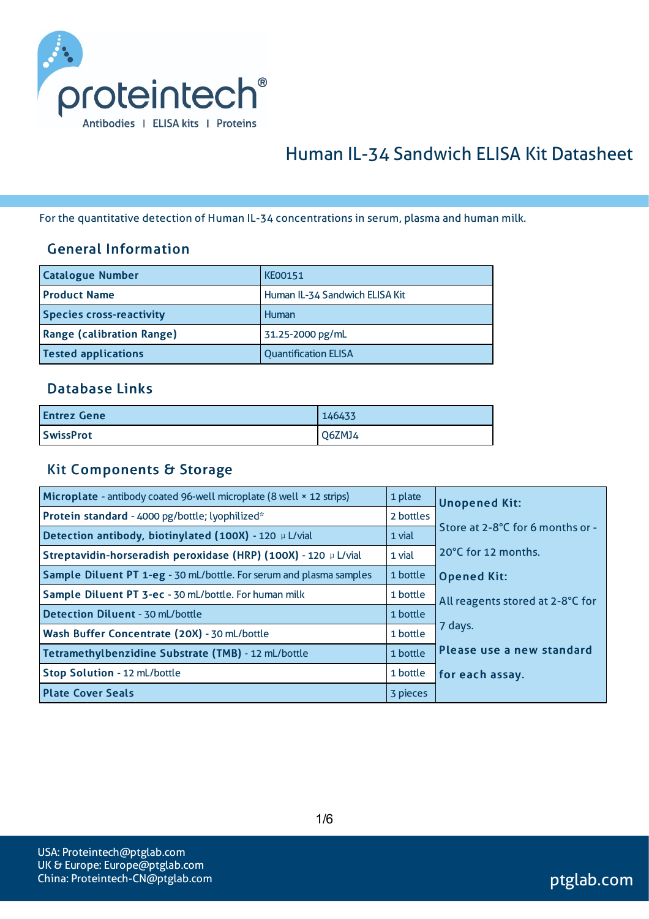

# Human IL-34 Sandwich ELISA Kit Datasheet

For the quantitative detection of Human IL-34 concentrations in serum, plasma and human milk.

#### General Information

| <b>Catalogue Number</b>          | <b>KE00151</b>                 |
|----------------------------------|--------------------------------|
| <b>Product Name</b>              | Human IL-34 Sandwich ELISA Kit |
| <b>Species cross-reactivity</b>  | Human                          |
| <b>Range (calibration Range)</b> | 31.25-2000 pg/mL               |
| <b>Tested applications</b>       | <b>Quantification ELISA</b>    |

#### Database Links

| <b>Entrez Gene</b> | 146433 |
|--------------------|--------|
| <b>SwissProt</b>   | Q6ZMJ4 |

#### Kit Components & Storage

| Microplate - antibody coated 96-well microplate (8 well × 12 strips) | 1 plate   | <b>Unopened Kit:</b>             |
|----------------------------------------------------------------------|-----------|----------------------------------|
| Protein standard - 4000 pg/bottle; lyophilized*                      | 2 bottles |                                  |
| Detection antibody, biotinylated (100X) - 120 µ L/vial               | 1 vial    | Store at 2-8°C for 6 months or - |
| Streptavidin-horseradish peroxidase (HRP) (100X) - 120 µ L/vial      | 1 vial    | 20°C for 12 months.              |
| Sample Diluent PT 1-eg - 30 mL/bottle. For serum and plasma samples  | 1 bottle  | <b>Opened Kit:</b>               |
| Sample Diluent PT 3-ec - 30 mL/bottle. For human milk                | 1 bottle  | All reagents stored at 2-8°C for |
| <b>Detection Diluent - 30 mL/bottle</b>                              | 1 bottle  |                                  |
| Wash Buffer Concentrate (20X) - 30 mL/bottle                         | 1 bottle  | 7 days.                          |
| Tetramethylbenzidine Substrate (TMB) - 12 mL/bottle                  | 1 bottle  | Please use a new standard        |
| Stop Solution - 12 mL/bottle                                         | 1 bottle  | for each assay.                  |
| <b>Plate Cover Seals</b>                                             | 3 pieces  |                                  |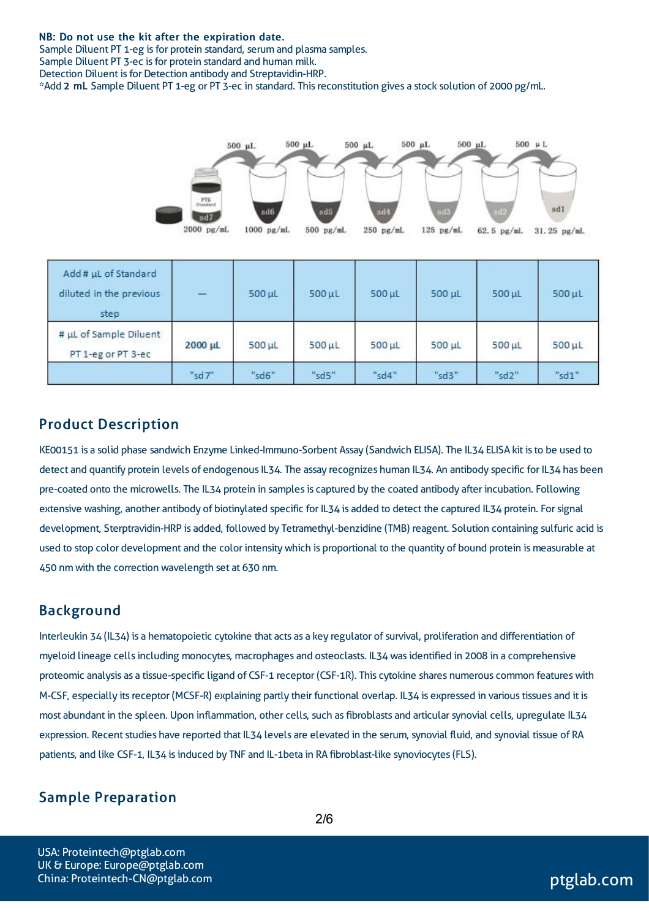#### NB: Do not use the kit after the expiration date.

Sample Diluent PT 1-eg is for protein standard, serum and plasma samples. Sample Diluent PT 3-ec is for protein standard and human milk. Detection Diluent is for Detection antibody and Streptavidin-HRP. \*Add 2 mL Sample Diluent PT 1-eg or PT 3-ec in standard. Thisreconstitution gives a stock solution of 2000 pg/mL.



| Add # µL of Standard<br>diluted in the previous<br>step |         | $500$ $\mu$   | $500$ $\mu$ L | $500$ $\mu$ L | 500 µL        | 500 µL | $500$ $\mu$ L |
|---------------------------------------------------------|---------|---------------|---------------|---------------|---------------|--------|---------------|
| # µL of Sample Diluent<br>PT 1-eg or PT 3-ec            | 2000 µL | $500$ $\mu$ L | $500$ $\mu$ L | $500$ $\mu$ L | $500$ $\mu$ L | 500 µL | $500$ $\mu$ L |
|                                                         | "sd7"   | "sd6"         | "sd5"         | "sd4"         | "sd3"         | "sd2"  | "sd1"         |

### Product Description

KE00151 is a solid phase sandwich Enzyme Linked-Immuno-Sorbent Assay (Sandwich ELISA). The IL34 ELISA kit isto be used to detect and quantify protein levels of endogenous IL34. The assay recognizes human IL34. An antibody specific for IL34 has been pre-coated onto the microwells. The IL34 protein in samples is captured by the coated antibody after incubation. Following extensive washing, another antibody of biotinylated specific for IL34 is added to detect the captured IL34 protein. Forsignal development, Sterptravidin-HRP is added, followed by Tetramethyl-benzidine (TMB) reagent. Solution containing sulfuric acid is used to stop color development and the color intensitywhich is proportional to the quantity of bound protein is measurable at 450 nm with the correction wavelength set at 630 nm.

#### Background

Interleukin 34 (IL34) is a hematopoietic cytokine that acts as a key regulator of survival, proliferation and differentiation of myeloid lineage cellsincluding monocytes, macrophages and osteoclasts. IL34 wasidentified in 2008 in a comprehensive proteomic analysis as a tissue-specific ligand of CSF-1 receptor (CSF-1R). This cytokine shares numerous common features with M-CSF, especially its receptor (MCSF-R) explaining partly their functional overlap. IL34 is expressed in various tissues and it is most abundant in the spleen. Upon inflammation, other cells, such as fibroblasts and articular synovial cells, upregulate IL34 expression. Recent studies have reported that IL34 levels are elevated in the serum, synovial fluid, and synovial tissue of RA patients, and like CSF-1, IL34 isinduced by TNF and IL-1beta in RA fibroblast-like synoviocytes(FLS).

## Sample Preparation

2/6

USA: Proteintech@ptglab.com UK & Europe: Europe@ptglab.com China: Proteintech-CN@ptglab.com and ptglab.com ptglab.com ptglab.com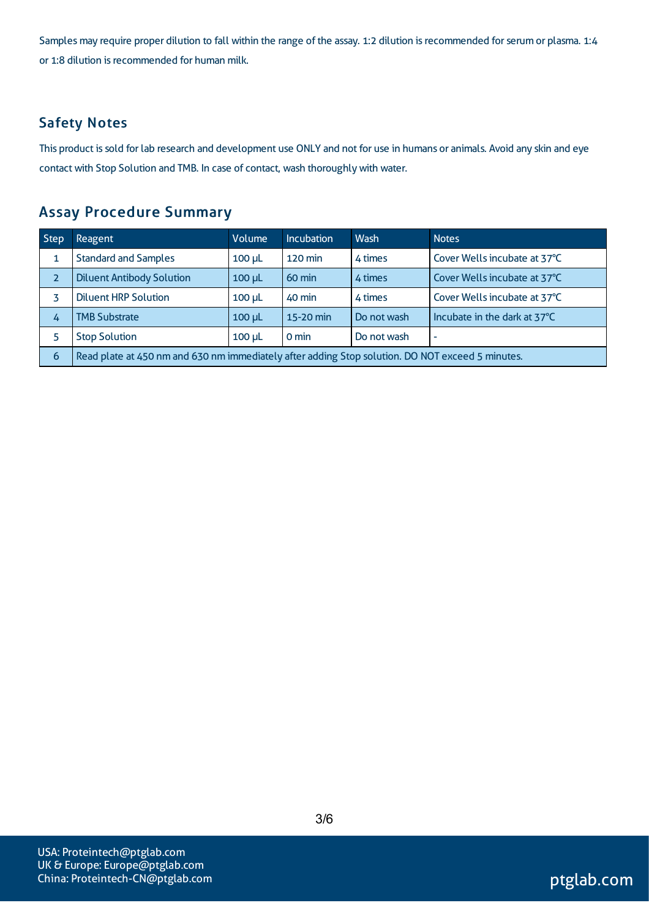Samples may require proper dilution to fall within the range of the assay. 1:2 dilution is recommended for serum or plasma. 1:4 or 1:8 dilution is recommended for human milk.

# Safety Notes

This product is sold for lab research and development use ONLY and not for use in humans or animals. Avoid any skin and eye contact with Stop Solution and TMB. In case of contact, wash thoroughly with water.

## Assay Procedure Summary

| <b>Step</b> | Reagent                                                                                          | Volume      | <b>Incubation</b> | Wash        | <b>Notes</b>                 |  |
|-------------|--------------------------------------------------------------------------------------------------|-------------|-------------------|-------------|------------------------------|--|
|             | <b>Standard and Samples</b>                                                                      | $100$ $\mu$ | 120 min           | 4 times     | Cover Wells incubate at 37°C |  |
|             | <b>Diluent Antibody Solution</b>                                                                 | $100 \mu L$ | 60 min            | 4 times     | Cover Wells incubate at 37°C |  |
|             | <b>Diluent HRP Solution</b>                                                                      | $100$ $\mu$ | 40 min            | 4 times     | Cover Wells incubate at 37°C |  |
| 4           | <b>TMB Substrate</b>                                                                             | $100 \mu L$ | 15-20 min         | Do not wash | Incubate in the dark at 37°C |  |
|             | <b>Stop Solution</b><br>$0 \text{ min}$<br>Do not wash<br>$100$ $\mu$<br>٠                       |             |                   |             |                              |  |
| 6           | Read plate at 450 nm and 630 nm immediately after adding Stop solution. DO NOT exceed 5 minutes. |             |                   |             |                              |  |

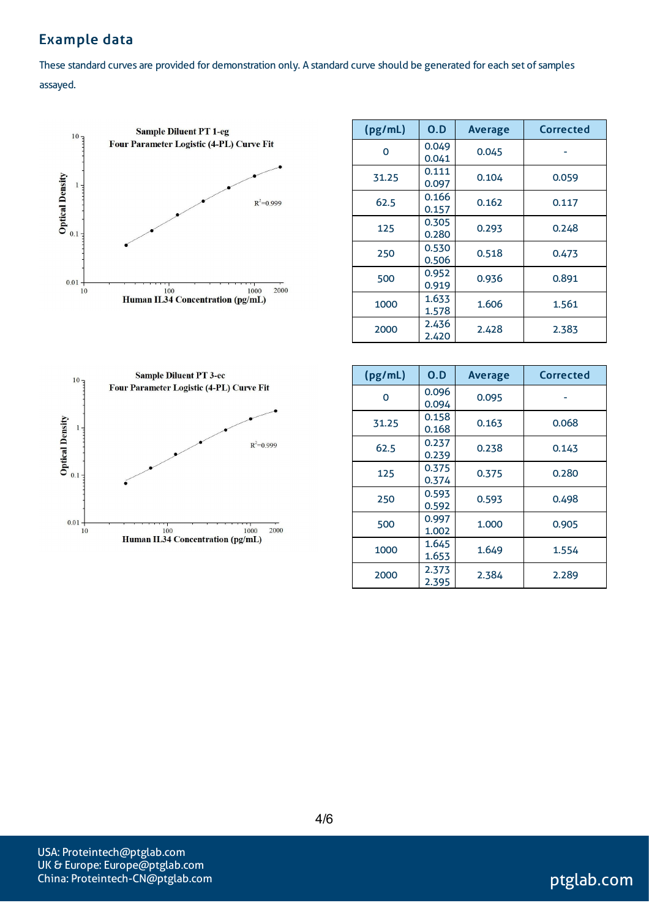# Example data

These standard curves are provided for demonstration only. A standard curve should be generated for each set of samples assayed.



| (pg/mL)  | 0.D            | <b>Average</b> | Corrected |
|----------|----------------|----------------|-----------|
| $\Omega$ | 0.049<br>0.041 | 0.045          |           |
| 31.25    | 0.111<br>0.097 | 0.104          | 0.059     |
| 62.5     | 0.166<br>0.157 | 0.162          | 0.117     |
| 125      | 0.305<br>0.280 | 0.293          | 0.248     |
| 250      | 0.530<br>0.506 | 0.518          | 0.473     |
| 500      | 0.952<br>0.919 | 0.936          | 0.891     |
| 1000     | 1.633<br>1.578 | 1.606          | 1.561     |
| 2000     | 2.436<br>2.420 | 2.428          | 2.383     |



| (pg/mL) | O.D            | <b>Average</b> | Corrected |
|---------|----------------|----------------|-----------|
| Ω       | 0.096<br>0.094 | 0.095          |           |
| 31.25   | 0.158<br>0.168 | 0.163          | 0.068     |
| 62.5    | 0.237<br>0.239 | 0.238          | 0.143     |
| 125     | 0.375<br>0.374 | 0.375          | 0.280     |
| 250     | 0.593<br>0.592 | 0.593          | 0.498     |
| 500     | 0.997<br>1.002 | 1.000          | 0.905     |
| 1000    | 1.645<br>1.653 | 1.649          | 1.554     |
| 2000    | 2.373<br>2.395 | 2.384          | 2.289     |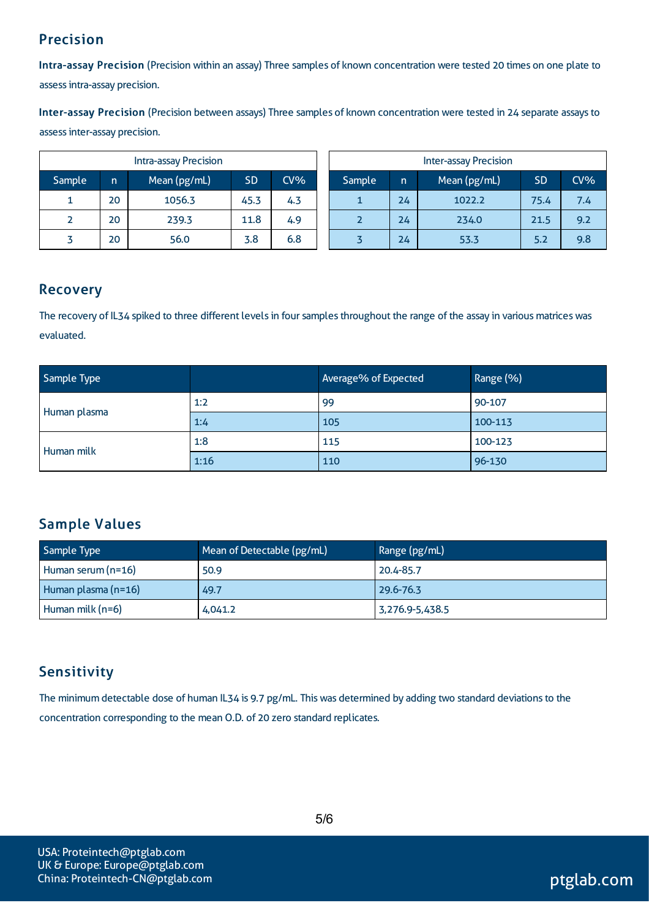# Precision

Intra-assay Precision (Precision within an assay) Three samples of known concentration were tested 20 times on one plate to assessintra-assay precision.

Inter-assay Precision (Precision between assays) Three samples of known concentration were tested in 24 separate assaysto assessinter-assay precision.

| <b>Intra-assay Precision</b> |    |              |           |        |        | <b>Inter-assay Precision</b> |              |           |     |
|------------------------------|----|--------------|-----------|--------|--------|------------------------------|--------------|-----------|-----|
| Sample                       | n  | Mean (pg/mL) | <b>SD</b> | $CV\%$ | Sample | n                            | Mean (pg/mL) | <b>SD</b> | CV% |
| ┻                            | 20 | 1056.3       | 45.3      | 4.3    |        | 24                           | 1022.2       | 75.4      | 7.4 |
|                              | 20 | 239.3        | 11.8      | 4.9    |        | 24                           | 234.0        | 21.5      | 9.2 |
|                              | 20 | 56.0         | 3.8       | 6.8    |        | 24                           | 53.3         | 5.2       | 9.8 |

## Recovery

The recovery of IL34 spiked to three different levels in four samples throughout the range of the assay in various matrices was evaluated.

| Sample Type  |      | Average% of Expected | Range (%) |
|--------------|------|----------------------|-----------|
|              | 1:2  | 99                   | 90-107    |
| Human plasma | 1:4  | 105                  | 100-113   |
| Human milk   | 1:8  | 115                  | 100-123   |
|              | 1:16 | 110                  | 96-130    |

# Sample Values

| Sample Type         | Mean of Detectable (pg/mL) | Range (pg/mL)   |
|---------------------|----------------------------|-----------------|
| Human serum (n=16)  | 50.9                       | 20.4-85.7       |
| Human plasma (n=16) | 49.7                       | 29.6-76.3       |
| Human milk (n=6)    | 4,041.2                    | 3,276.9-5,438.5 |

# **Sensitivity**

The minimum detectable dose of human IL34 is 9.7 pg/mL. This was determined by adding two standard deviations to the concentration corresponding to the mean O.D. of 20 zero standard replicates.